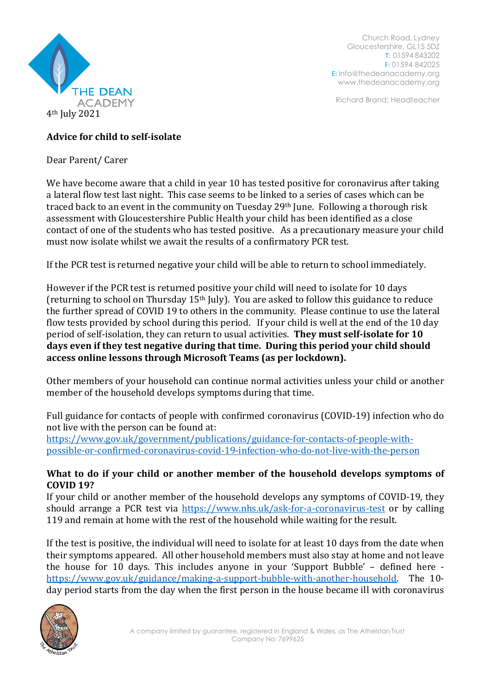

Church Road, Lydney Gloucestershire, GL15 5DZ T: 01594 843202 F: 01594 842025 E: [info@thedeanacademy.org](mailto:info@thedeanacademy.org) [www.thedeanacademy.org](http://www.thedeanacademy.org/)

Richard Brand: Headteacher

# **Advice for child to self-isolate**

Dear Parent/ Carer

We have become aware that a child in year 10 has tested positive for coronavirus after taking a lateral flow test last night. This case seems to be linked to a series of cases which can be traced back to an event in the community on Tuesday 29<sup>th</sup> June. Following a thorough risk assessment with Gloucestershire Public Health your child has been identified as a close contact of one of the students who has tested positive. As a precautionary measure your child must now isolate whilst we await the results of a confirmatory PCR test.

If the PCR test is returned negative your child will be able to return to school immediately.

However if the PCR test is returned positive your child will need to isolate for 10 days (returning to school on Thursday 15th July). You are asked to follow this guidance to reduce the further spread of COVID 19 to others in the community. Please continue to use the lateral flow tests provided by school during this period. If your child is well at the end of the 10 day period of self-isolation, they can return to usual activities. **They must self-isolate for 10 days even if they test negative during that time. During this period your child should access online lessons through Microsoft Teams (as per lockdown).**

Other members of your household can continue normal activities unless your child or another member of the household develops symptoms during that time.

Full guidance for contacts of people with confirmed coronavirus (COVID-19) infection who do not live with the person can be found at:

[https://www.gov.uk/government/publications/guidance-for-contacts-of-people-with](https://www.gov.uk/government/publications/guidance-for-contacts-of-people-with-possible-or-confirmed-coronavirus-covid-19-infection-who-do-not-live-with-the-person)[possible-or-confirmed-coronavirus-covid-19-infection-who-do-not-live-with-the-person](https://www.gov.uk/government/publications/guidance-for-contacts-of-people-with-possible-or-confirmed-coronavirus-covid-19-infection-who-do-not-live-with-the-person)

## **What to do if your child or another member of the household develops symptoms of COVID 19?**

If your child or another member of the household develops any symptoms of COVID-19, they should arrange a PCR test via <https://www.nhs.uk/ask-for-a-coronavirus-test> or by calling 119 and remain at home with the rest of the household while waiting for the result.

If the test is positive, the individual will need to isolate for at least 10 days from the date when their symptoms appeared. All other household members must also stay at home and not leave the house for 10 days. This includes anyone in your 'Support Bubble' – defined here [https://www.gov.uk/guidance/making-a-support-bubble-with-another-household.](https://www.gov.uk/guidance/making-a-support-bubble-with-another-household) The 10 day period starts from the day when the first person in the house became ill with coronavirus

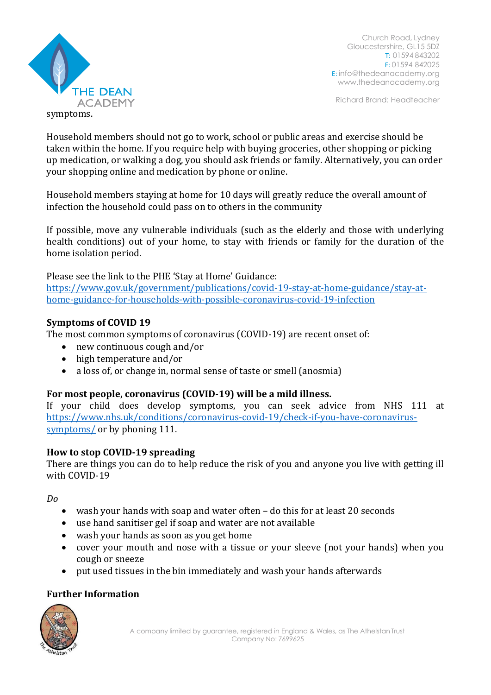

Church Road, Lydney Gloucestershire, GL15 5DZ T: 01594 843202 F: 01594 842025 E: [info@thedeanacademy.org](mailto:info@thedeanacademy.org) [www.thedeanacademy.org](http://www.thedeanacademy.org/)

Richard Brand: Headteacher

symptoms.

Household members should not go to work, school or public areas and exercise should be taken within the home. If you require help with buying groceries, other shopping or picking up medication, or walking a dog, you should ask friends or family. Alternatively, you can order your shopping online and medication by phone or online.

Household members staying at home for 10 days will greatly reduce the overall amount of infection the household could pass on to others in the community

If possible, move any vulnerable individuals (such as the elderly and those with underlying health conditions) out of your home, to stay with friends or family for the duration of the home isolation period.

Please see the link to the PHE 'Stay at Home' Guidance:

[https://www.gov.uk/government/publications/covid-19-stay-at-home-guidance/stay-at](https://www.gov.uk/government/publications/covid-19-stay-at-home-guidance/stay-at-home-guidance-for-households-with-possible-coronavirus-covid-19-infection)[home-guidance-for-households-with-possible-coronavirus-covid-19-infection](https://www.gov.uk/government/publications/covid-19-stay-at-home-guidance/stay-at-home-guidance-for-households-with-possible-coronavirus-covid-19-infection)

#### **Symptoms of COVID 19**

The most common symptoms of coronavirus (COVID-19) are recent onset of:

- new continuous cough and/or
- high temperature and/or
- a loss of, or change in, normal sense of taste or smell (anosmia)

## **For most people, coronavirus (COVID-19) will be a mild illness.**

If your child does develop symptoms, you can seek advice from NHS 111 at [https://www.nhs.uk/conditions/coronavirus-covid-19/check-if-you-have-coronavirus](https://www.nhs.uk/conditions/coronavirus-covid-19/check-if-you-have-coronavirus-symptoms/)[symptoms/](https://www.nhs.uk/conditions/coronavirus-covid-19/check-if-you-have-coronavirus-symptoms/) or by phoning 111.

#### **How to stop COVID-19 spreading**

There are things you can do to help reduce the risk of you and anyone you live with getting ill with COVID-19

*Do*

- wash your hands with soap and water often do this for at least 20 seconds
- use hand sanitiser gel if soap and water are not available
- wash your hands as soon as you get home
- cover your mouth and nose with a tissue or your sleeve (not your hands) when you cough or sneeze
- put used tissues in the bin immediately and wash your hands afterwards

## **Further Information**